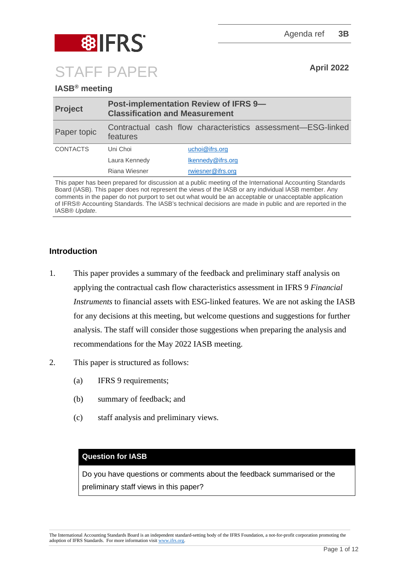

# **IASB® meeting**

| <b>Project</b>  | <b>Post-implementation Review of IFRS 9-</b><br><b>Classification and Measurement</b> |                                                             |
|-----------------|---------------------------------------------------------------------------------------|-------------------------------------------------------------|
| Paper topic     | features                                                                              | Contractual cash flow characteristics assessment—ESG-linked |
| <b>CONTACTS</b> | Uni Choi                                                                              | uchoi@ifrs.org                                              |
|                 | Laura Kennedy                                                                         | lkennedy@ifrs.org                                           |
|                 | Riana Wiesner                                                                         | rwiesner@ifrs.org                                           |

This paper has been prepared for discussion at a public meeting of the International Accounting Standards Board (IASB). This paper does not represent the views of the IASB or any individual IASB member. Any comments in the paper do not purport to set out what would be an acceptable or unacceptable application of IFRS® Accounting Standards. The IASB's technical decisions are made in public and are reported in the IASB® *Update*.

## **Introduction**

- 1. This paper provides a summary of the feedback and preliminary staff analysis on applying the contractual cash flow characteristics assessment in IFRS 9 *Financial Instruments* to financial assets with ESG-linked features. We are not asking the IASB for any decisions at this meeting, but welcome questions and suggestions for further analysis. The staff will consider those suggestions when preparing the analysis and recommendations for the May 2022 IASB meeting.
- 2. This paper is structured as follows:
	- (a) [IFRS 9 requirements;](#page-1-0)
	- (b) [summary of feedback;](#page-2-0) and
	- (c) [staff analysis and preliminary views.](#page-7-0)

## **Question for IASB**

Do you have questions or comments about the feedback summarised or the preliminary staff views in this paper?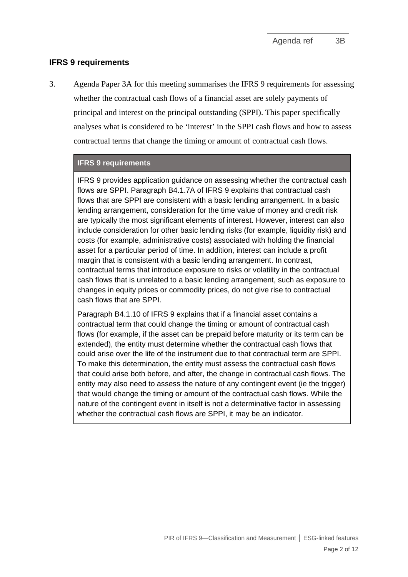#### <span id="page-1-0"></span>**IFRS 9 requirements**

<span id="page-1-1"></span>3. Agenda Paper 3A for this meeting summarises the IFRS 9 requirements for assessing whether the contractual cash flows of a financial asset are solely payments of principal and interest on the principal outstanding (SPPI). This paper specifically analyses what is considered to be 'interest' in the SPPI cash flows and how to assess contractual terms that change the timing or amount of contractual cash flows.

#### **IFRS 9 requirements**

IFRS 9 provides application guidance on assessing whether the contractual cash flows are SPPI. Paragraph B4.1.7A of IFRS 9 explains that contractual cash flows that are SPPI are consistent with a basic lending arrangement. In a basic lending arrangement, consideration for the time value of money and credit risk are typically the most significant elements of interest. However, interest can also include consideration for other basic lending risks (for example, liquidity risk) and costs (for example, administrative costs) associated with holding the financial asset for a particular period of time. In addition, interest can include a profit margin that is consistent with a basic lending arrangement. In contrast, contractual terms that introduce exposure to risks or volatility in the contractual cash flows that is unrelated to a basic lending arrangement, such as exposure to changes in equity prices or commodity prices, do not give rise to contractual cash flows that are SPPI.

Paragraph B4.1.10 of IFRS 9 explains that if a financial asset contains a contractual term that could change the timing or amount of contractual cash flows (for example, if the asset can be prepaid before maturity or its term can be extended), the entity must determine whether the contractual cash flows that could arise over the life of the instrument due to that contractual term are SPPI. To make this determination, the entity must assess the contractual cash flows that could arise both before, and after, the change in contractual cash flows. The entity may also need to assess the nature of any contingent event (ie the trigger) that would change the timing or amount of the contractual cash flows. While the nature of the contingent event in itself is not a determinative factor in assessing whether the contractual cash flows are SPPI, it may be an indicator.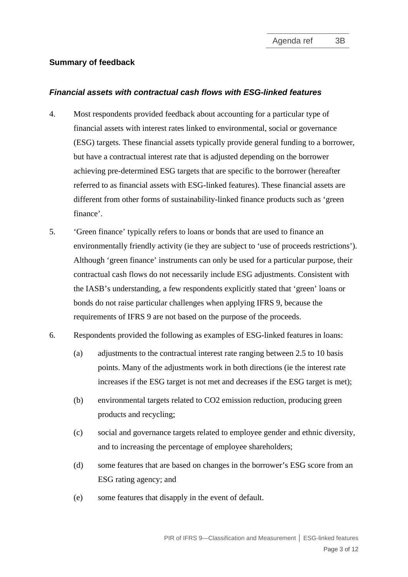### <span id="page-2-0"></span>**Summary of feedback**

#### *Financial assets with contractual cash flows with ESG-linked features*

- 4. Most respondents provided feedback about accounting for a particular type of financial assets with interest rates linked to environmental, social or governance (ESG) targets. These financial assets typically provide general funding to a borrower, but have a contractual interest rate that is adjusted depending on the borrower achieving pre-determined ESG targets that are specific to the borrower (hereafter referred to as financial assets with ESG-linked features). These financial assets are different from other forms of sustainability-linked finance products such as 'green finance'.
- 5. 'Green finance' typically refers to loans or bonds that are used to finance an environmentally friendly activity (ie they are subject to 'use of proceeds restrictions'). Although 'green finance' instruments can only be used for a particular purpose, their contractual cash flows do not necessarily include ESG adjustments. Consistent with the IASB's understanding, a few respondents explicitly stated that 'green' loans or bonds do not raise particular challenges when applying IFRS 9, because the requirements of IFRS 9 are not based on the purpose of the proceeds.
- 6. Respondents provided the following as examples of ESG-linked features in loans:
	- (a) adjustments to the contractual interest rate ranging between 2.5 to 10 basis points. Many of the adjustments work in both directions (ie the interest rate increases if the ESG target is not met and decreases if the ESG target is met);
	- (b) environmental targets related to CO2 emission reduction, producing green products and recycling;
	- (c) social and governance targets related to employee gender and ethnic diversity, and to increasing the percentage of employee shareholders;
	- (d) some features that are based on changes in the borrower's ESG score from an ESG rating agency; and
	- (e) some features that disapply in the event of default.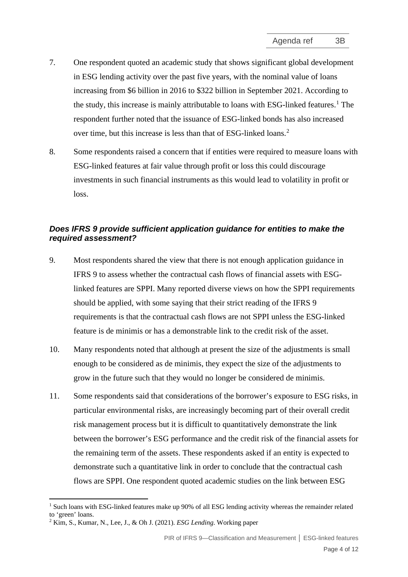- 7. One respondent quoted an academic study that shows significant global development in ESG lending activity over the past five years, with the nominal value of loans increasing from \$6 billion in 2016 to \$322 billion in September 2021. According to the study, this increase is mainly attributable to loans with ESG-linked features. [1](#page-3-0) The respondent further noted that the issuance of ESG-linked bonds has also increased over time, but this increase is less than that of ESG-linked loans. [2](#page-3-1)
- 8. Some respondents raised a concern that if entities were required to measure loans with ESG-linked features at fair value through profit or loss this could discourage investments in such financial instruments as this would lead to volatility in profit or loss.

# *Does IFRS 9 provide sufficient application guidance for entities to make the required assessment?*

- <span id="page-3-2"></span>9. Most respondents shared the view that there is not enough application guidance in IFRS 9 to assess whether the contractual cash flows of financial assets with ESGlinked features are SPPI. Many reported diverse views on how the SPPI requirements should be applied, with some saying that their strict reading of the IFRS 9 requirements is that the contractual cash flows are not SPPI unless the ESG-linked feature is de minimis or has a demonstrable link to the credit risk of the asset.
- 10. Many respondents noted that although at present the size of the adjustments is small enough to be considered as de minimis, they expect the size of the adjustments to grow in the future such that they would no longer be considered de minimis.
- 11. Some respondents said that considerations of the borrower's exposure to ESG risks, in particular environmental risks, are increasingly becoming part of their overall credit risk management process but it is difficult to quantitatively demonstrate the link between the borrower's ESG performance and the credit risk of the financial assets for the remaining term of the assets. These respondents asked if an entity is expected to demonstrate such a quantitative link in order to conclude that the contractual cash flows are SPPI. One respondent quoted academic studies on the link between ESG

<span id="page-3-0"></span><sup>&</sup>lt;sup>1</sup> Such loans with ESG-linked features make up 90% of all ESG lending activity whereas the remainder related to 'green' loans.

<span id="page-3-1"></span><sup>2</sup> Kim, S., Kumar, N., Lee, J., & Oh J. (2021). *ESG Lending*. Working paper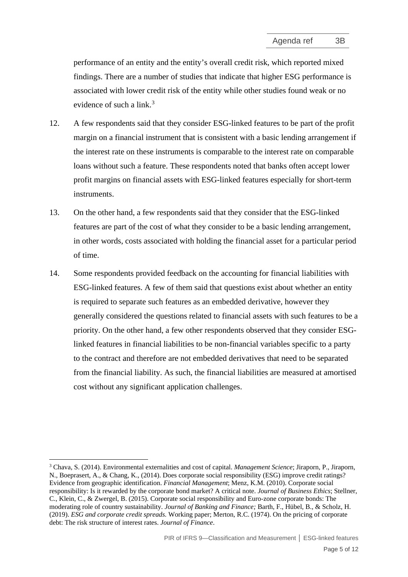performance of an entity and the entity's overall credit risk, which reported mixed findings. There are a number of studies that indicate that higher ESG performance is associated with lower credit risk of the entity while other studies found weak or no evidence of such a link. $3$ 

- 12. A few respondents said that they consider ESG-linked features to be part of the profit margin on a financial instrument that is consistent with a basic lending arrangement if the interest rate on these instruments is comparable to the interest rate on comparable loans without such a feature. These respondents noted that banks often accept lower profit margins on financial assets with ESG-linked features especially for short-term instruments.
- <span id="page-4-2"></span>13. On the other hand, a few respondents said that they consider that the ESG-linked features are part of the cost of what they consider to be a basic lending arrangement, in other words, costs associated with holding the financial asset for a particular period of time.
- <span id="page-4-1"></span>14. Some respondents provided feedback on the accounting for financial liabilities with ESG-linked features. A few of them said that questions exist about whether an entity is required to separate such features as an embedded derivative, however they generally considered the questions related to financial assets with such features to be a priority. On the other hand, a few other respondents observed that they consider ESGlinked features in financial liabilities to be non-financial variables specific to a party to the contract and therefore are not embedded derivatives that need to be separated from the financial liability. As such, the financial liabilities are measured at amortised cost without any significant application challenges.

<span id="page-4-0"></span><sup>3</sup> Chava, S. (2014). Environmental externalities and cost of capital. *Management Science*; Jiraporn, P., Jiraporn, N., Boeprasert, A., & Chang, K., (2014). Does corporate social responsibility (ESG) improve credit ratings? Evidence from geographic identification. *Financial Management*; Menz, K.M. (2010). Corporate social responsibility: Is it rewarded by the corporate bond market? A critical note. *Journal of Business Ethics*; Stellner, C., Klein, C., & Zwergel, B. (2015). Corporate social responsibility and Euro-zone corporate bonds: The moderating role of country sustainability. *Journal of Banking and Finance;* Barth, F., Hübel, B., & Scholz, H. (2019). *ESG and corporate credit spreads.* Working paper; Merton, R.C. (1974). On the pricing of corporate debt: The risk structure of interest rates. *Journal of Finance*.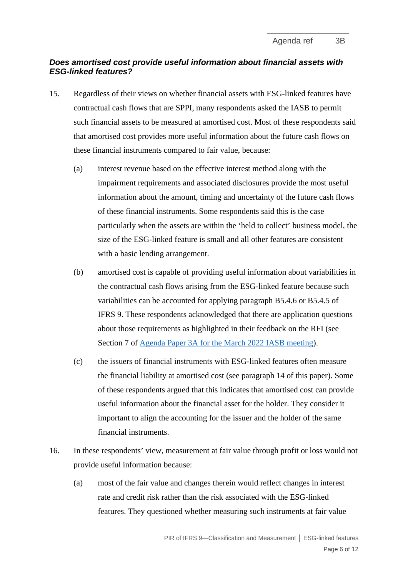# *Does amortised cost provide useful information about financial assets with ESG-linked features?*

- 15. Regardless of their views on whether financial assets with ESG-linked features have contractual cash flows that are SPPI, many respondents asked the IASB to permit such financial assets to be measured at amortised cost. Most of these respondents said that amortised cost provides more useful information about the future cash flows on these financial instruments compared to fair value, because:
	- (a) interest revenue based on the effective interest method along with the impairment requirements and associated disclosures provide the most useful information about the amount, timing and uncertainty of the future cash flows of these financial instruments. Some respondents said this is the case particularly when the assets are within the 'held to collect' business model, the size of the ESG-linked feature is small and all other features are consistent with a basic lending arrangement.
	- (b) amortised cost is capable of providing useful information about variabilities in the contractual cash flows arising from the ESG-linked feature because such variabilities can be accounted for applying paragraph B5.4.6 or B5.4.5 of IFRS 9. These respondents acknowledged that there are application questions about those requirements as highlighted in their feedback on the RFI (see Section 7 of [Agenda Paper 3A for the March 2022 IASB meeting\)](https://www.ifrs.org/content/dam/ifrs/meetings/2022/march/iasb/ap3a-ifrs-9-feedback-summary.pdf).
	- (c) the issuers of financial instruments with ESG-linked features often measure the financial liability at amortised cost (see paragraph [14](#page-4-1) of this paper). Some of these respondents argued that this indicates that amortised cost can provide useful information about the financial asset for the holder. They consider it important to align the accounting for the issuer and the holder of the same financial instruments.
- 16. In these respondents' view, measurement at fair value through profit or loss would not provide useful information because:
	- (a) most of the fair value and changes therein would reflect changes in interest rate and credit risk rather than the risk associated with the ESG-linked features. They questioned whether measuring such instruments at fair value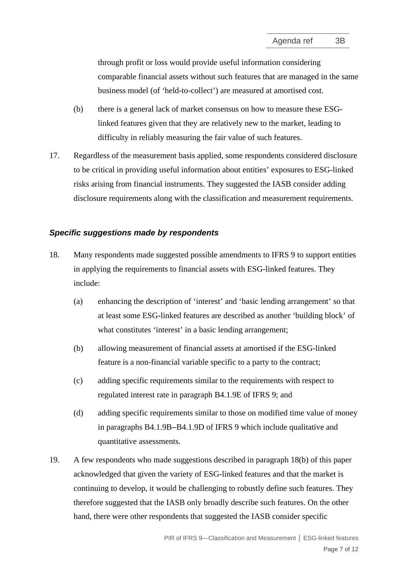through profit or loss would provide useful information considering comparable financial assets without such features that are managed in the same business model (of 'held-to-collect') are measured at amortised cost.

- (b) there is a general lack of market consensus on how to measure these ESGlinked features given that they are relatively new to the market, leading to difficulty in reliably measuring the fair value of such features.
- 17. Regardless of the measurement basis applied, some respondents considered disclosure to be critical in providing useful information about entities' exposures to ESG-linked risks arising from financial instruments. They suggested the IASB consider adding disclosure requirements along with the classification and measurement requirements.

#### *Specific suggestions made by respondents*

- <span id="page-6-0"></span>18. Many respondents made suggested possible amendments to IFRS 9 to support entities in applying the requirements to financial assets with ESG-linked features. They include:
	- (a) enhancing the description of 'interest' and 'basic lending arrangement' so that at least some ESG-linked features are described as another 'building block' of what constitutes 'interest' in a basic lending arrangement;
	- (b) allowing measurement of financial assets at amortised if the ESG-linked feature is a non-financial variable specific to a party to the contract;
	- (c) adding specific requirements similar to the requirements with respect to regulated interest rate in paragraph B4.1.9E of IFRS 9; and
	- (d) adding specific requirements similar to those on modified time value of money in paragraphs B4.1.9B–B4.1.9D of IFRS 9 which include qualitative and quantitative assessments.
- 19. A few respondents who made suggestions described in paragraph [18\(b\)](#page-6-0) of this paper acknowledged that given the variety of ESG-linked features and that the market is continuing to develop, it would be challenging to robustly define such features. They therefore suggested that the IASB only broadly describe such features. On the other hand, there were other respondents that suggested the IASB consider specific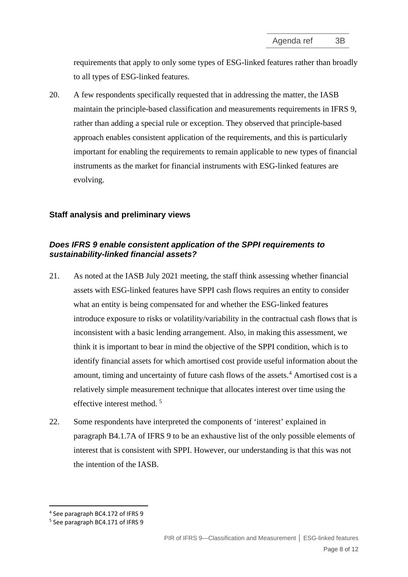requirements that apply to only some types of ESG-linked features rather than broadly to all types of ESG-linked features.

20. A few respondents specifically requested that in addressing the matter, the IASB maintain the principle-based classification and measurements requirements in IFRS 9, rather than adding a special rule or exception. They observed that principle-based approach enables consistent application of the requirements, and this is particularly important for enabling the requirements to remain applicable to new types of financial instruments as the market for financial instruments with ESG-linked features are evolving.

#### <span id="page-7-0"></span>**Staff analysis and preliminary views**

## *Does IFRS 9 enable consistent application of the SPPI requirements to sustainability-linked financial assets?*

- 21. As noted at the IASB July 2021 meeting, the staff think assessing whether financial assets with ESG-linked features have SPPI cash flows requires an entity to consider what an entity is being compensated for and whether the ESG-linked features introduce exposure to risks or volatility/variability in the contractual cash flows that is inconsistent with a basic lending arrangement. Also, in making this assessment, we think it is important to bear in mind the objective of the SPPI condition, which is to identify financial assets for which amortised cost provide useful information about the amount, timing and uncertainty of future cash flows of the assets. [4](#page-7-1) Amortised cost is a relatively simple measurement technique that allocates interest over time using the effective interest method. [5](#page-7-2)
- 22. Some respondents have interpreted the components of 'interest' explained in paragraph B4.1.7A of IFRS 9 to be an exhaustive list of the only possible elements of interest that is consistent with SPPI. However, our understanding is that this was not the intention of the IASB.

<span id="page-7-1"></span><sup>4</sup> See paragraph BC4.172 of IFRS 9

<span id="page-7-2"></span><sup>5</sup> See paragraph BC4.171 of IFRS 9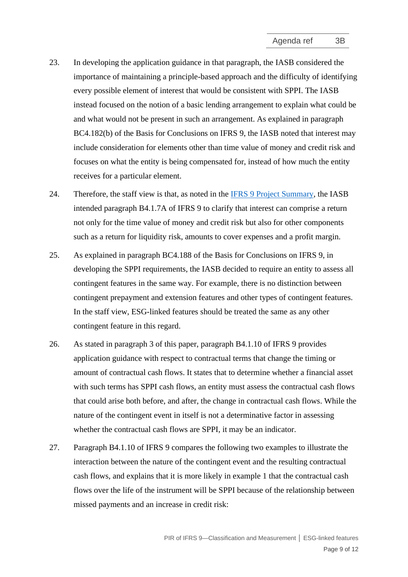- 23. In developing the application guidance in that paragraph, the IASB considered the importance of maintaining a principle-based approach and the difficulty of identifying every possible element of interest that would be consistent with SPPI. The IASB instead focused on the notion of a basic lending arrangement to explain what could be and what would not be present in such an arrangement. As explained in paragraph BC4.182(b) of the Basis for Conclusions on IFRS 9, the IASB noted that interest may include consideration for elements other than time value of money and credit risk and focuses on what the entity is being compensated for, instead of how much the entity receives for a particular element.
- 24. Therefore, the staff view is that, as noted in the [IFRS 9 Project Summary,](https://www.ifrs.org/content/dam/ifrs/project/fi-impairment/ifrs-standard/published-documents/project-summary-july-2014.pdf) the IASB intended paragraph B4.1.7A of IFRS 9 to clarify that interest can comprise a return not only for the time value of money and credit risk but also for other components such as a return for liquidity risk, amounts to cover expenses and a profit margin.
- 25. As explained in paragraph BC4.188 of the Basis for Conclusions on IFRS 9, in developing the SPPI requirements, the IASB decided to require an entity to assess all contingent features in the same way. For example, there is no distinction between contingent prepayment and extension features and other types of contingent features. In the staff view, ESG-linked features should be treated the same as any other contingent feature in this regard.
- 26. As stated in paragraph [3](#page-1-1) of this paper, paragraph B4.1.10 of IFRS 9 provides application guidance with respect to contractual terms that change the timing or amount of contractual cash flows. It states that to determine whether a financial asset with such terms has SPPI cash flows, an entity must assess the contractual cash flows that could arise both before, and after, the change in contractual cash flows. While the nature of the contingent event in itself is not a determinative factor in assessing whether the contractual cash flows are SPPI, it may be an indicator.
- 27. Paragraph B4.1.10 of IFRS 9 compares the following two examples to illustrate the interaction between the nature of the contingent event and the resulting contractual cash flows, and explains that it is more likely in example 1 that the contractual cash flows over the life of the instrument will be SPPI because of the relationship between missed payments and an increase in credit risk: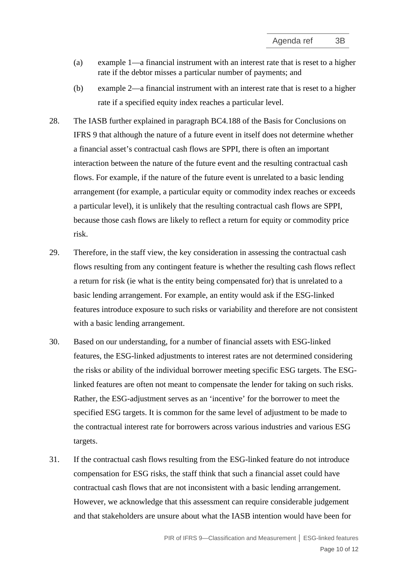- (a) example 1—a financial instrument with an interest rate that is reset to a higher rate if the debtor misses a particular number of payments; and
- (b) example 2—a financial instrument with an interest rate that is reset to a higher rate if a specified equity index reaches a particular level.
- 28. The IASB further explained in paragraph BC4.188 of the Basis for Conclusions on IFRS 9 that although the nature of a future event in itself does not determine whether a financial asset's contractual cash flows are SPPI, there is often an important interaction between the nature of the future event and the resulting contractual cash flows. For example, if the nature of the future event is unrelated to a basic lending arrangement (for example, a particular equity or commodity index reaches or exceeds a particular level), it is unlikely that the resulting contractual cash flows are SPPI, because those cash flows are likely to reflect a return for equity or commodity price risk.
- 29. Therefore, in the staff view, the key consideration in assessing the contractual cash flows resulting from any contingent feature is whether the resulting cash flows reflect a return for risk (ie what is the entity being compensated for) that is unrelated to a basic lending arrangement. For example, an entity would ask if the ESG-linked features introduce exposure to such risks or variability and therefore are not consistent with a basic lending arrangement.
- 30. Based on our understanding, for a number of financial assets with ESG-linked features, the ESG-linked adjustments to interest rates are not determined considering the risks or ability of the individual borrower meeting specific ESG targets. The ESGlinked features are often not meant to compensate the lender for taking on such risks. Rather, the ESG-adjustment serves as an 'incentive' for the borrower to meet the specified ESG targets. It is common for the same level of adjustment to be made to the contractual interest rate for borrowers across various industries and various ESG targets.
- 31. If the contractual cash flows resulting from the ESG-linked feature do not introduce compensation for ESG risks, the staff think that such a financial asset could have contractual cash flows that are not inconsistent with a basic lending arrangement. However, we acknowledge that this assessment can require considerable judgement and that stakeholders are unsure about what the IASB intention would have been for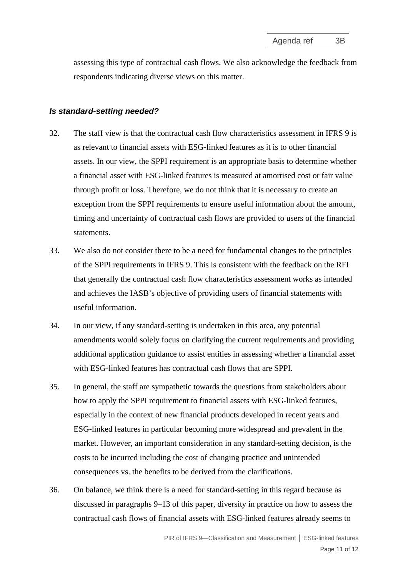assessing this type of contractual cash flows. We also acknowledge the feedback from respondents indicating diverse views on this matter.

#### *Is standard-setting needed?*

- 32. The staff view is that the contractual cash flow characteristics assessment in IFRS 9 is as relevant to financial assets with ESG-linked features as it is to other financial assets. In our view, the SPPI requirement is an appropriate basis to determine whether a financial asset with ESG-linked features is measured at amortised cost or fair value through profit or loss. Therefore, we do not think that it is necessary to create an exception from the SPPI requirements to ensure useful information about the amount, timing and uncertainty of contractual cash flows are provided to users of the financial statements.
- 33. We also do not consider there to be a need for fundamental changes to the principles of the SPPI requirements in IFRS 9. This is consistent with the feedback on the RFI that generally the contractual cash flow characteristics assessment works as intended and achieves the IASB's objective of providing users of financial statements with useful information.
- 34. In our view, if any standard-setting is undertaken in this area, any potential amendments would solely focus on clarifying the current requirements and providing additional application guidance to assist entities in assessing whether a financial asset with ESG-linked features has contractual cash flows that are SPPI.
- 35. In general, the staff are sympathetic towards the questions from stakeholders about how to apply the SPPI requirement to financial assets with ESG-linked features, especially in the context of new financial products developed in recent years and ESG-linked features in particular becoming more widespread and prevalent in the market. However, an important consideration in any standard-setting decision, is the costs to be incurred including the cost of changing practice and unintended consequences vs. the benefits to be derived from the clarifications.
- 36. On balance, we think there is a need for standard-setting in this regard because as discussed in paragraphs [9–](#page-3-2)[13](#page-4-2) of this paper, diversity in practice on how to assess the contractual cash flows of financial assets with ESG-linked features already seems to